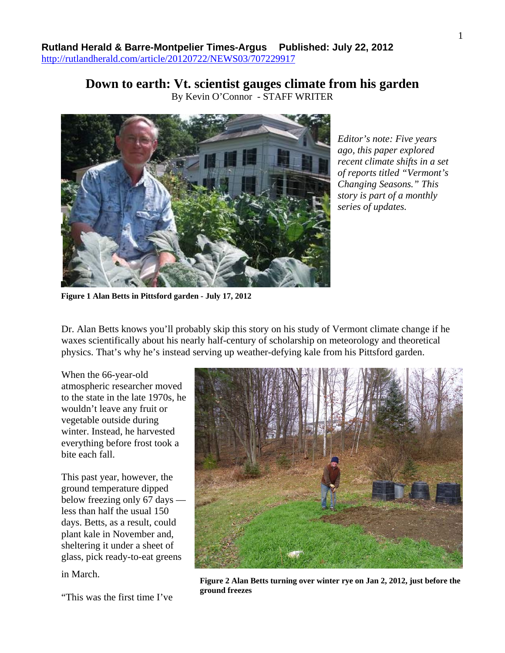**Down to earth: Vt. scientist gauges climate from his garden**  By Kevin O'Connor - STAFF WRITER



*Editor's note: Five years ago, this paper explored recent climate shifts in a set of reports titled "Vermont's Changing Seasons." This story is part of a monthly series of updates.*

**Figure 1 Alan Betts in Pittsford garden - July 17, 2012** 

Dr. Alan Betts knows you'll probably skip this story on his study of Vermont climate change if he waxes scientifically about his nearly half-century of scholarship on meteorology and theoretical physics. That's why he's instead serving up weather-defying kale from his Pittsford garden.

When the 66-year-old atmospheric researcher moved to the state in the late 1970s, he wouldn't leave any fruit or vegetable outside during winter. Instead, he harvested everything before frost took a bite each fall.

This past year, however, the ground temperature dipped below freezing only 67 days less than half the usual 150 days. Betts, as a result, could plant kale in November and, sheltering it under a sheet of glass, pick ready-to-eat greens

in March.

**ground freezes** "This was the first time I've



**Figure 2 Alan Betts turning over winter rye on Jan 2, 2012, just before the**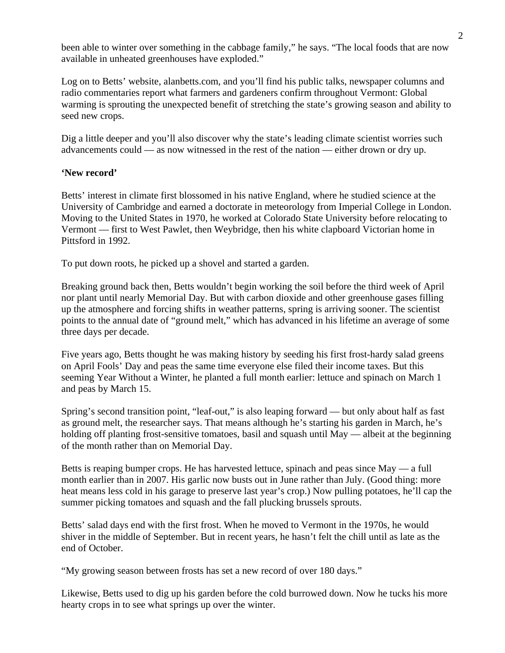been able to winter over something in the cabbage family," he says. "The local foods that are now available in unheated greenhouses have exploded."

Log on to Betts' website, alanbetts.com, and you'll find his public talks, newspaper columns and radio commentaries report what farmers and gardeners confirm throughout Vermont: Global warming is sprouting the unexpected benefit of stretching the state's growing season and ability to seed new crops.

Dig a little deeper and you'll also discover why the state's leading climate scientist worries such advancements could — as now witnessed in the rest of the nation — either drown or dry up.

## **'New record'**

Betts' interest in climate first blossomed in his native England, where he studied science at the University of Cambridge and earned a doctorate in meteorology from Imperial College in London. Moving to the United States in 1970, he worked at Colorado State University before relocating to Vermont — first to West Pawlet, then Weybridge, then his white clapboard Victorian home in Pittsford in 1992.

To put down roots, he picked up a shovel and started a garden.

Breaking ground back then, Betts wouldn't begin working the soil before the third week of April nor plant until nearly Memorial Day. But with carbon dioxide and other greenhouse gases filling up the atmosphere and forcing shifts in weather patterns, spring is arriving sooner. The scientist points to the annual date of "ground melt," which has advanced in his lifetime an average of some three days per decade.

Five years ago, Betts thought he was making history by seeding his first frost-hardy salad greens on April Fools' Day and peas the same time everyone else filed their income taxes. But this seeming Year Without a Winter, he planted a full month earlier: lettuce and spinach on March 1 and peas by March 15.

Spring's second transition point, "leaf-out," is also leaping forward — but only about half as fast as ground melt, the researcher says. That means although he's starting his garden in March, he's holding off planting frost-sensitive tomatoes, basil and squash until May — albeit at the beginning of the month rather than on Memorial Day.

Betts is reaping bumper crops. He has harvested lettuce, spinach and peas since May — a full month earlier than in 2007. His garlic now busts out in June rather than July. (Good thing: more heat means less cold in his garage to preserve last year's crop.) Now pulling potatoes, he'll cap the summer picking tomatoes and squash and the fall plucking brussels sprouts.

Betts' salad days end with the first frost. When he moved to Vermont in the 1970s, he would shiver in the middle of September. But in recent years, he hasn't felt the chill until as late as the end of October.

"My growing season between frosts has set a new record of over 180 days."

Likewise, Betts used to dig up his garden before the cold burrowed down. Now he tucks his more hearty crops in to see what springs up over the winter.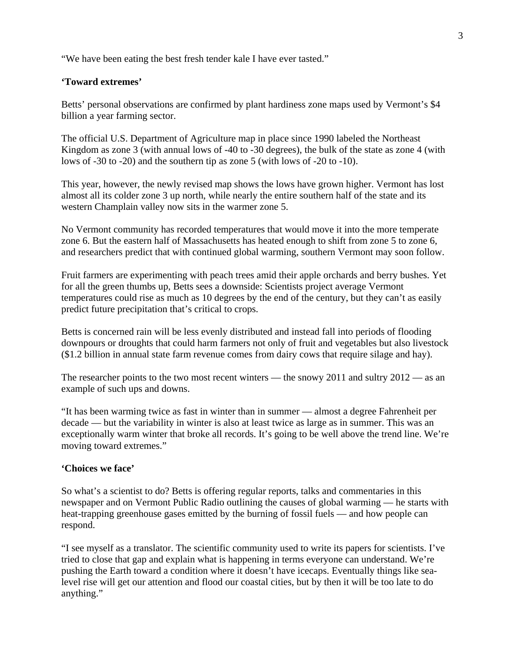"We have been eating the best fresh tender kale I have ever tasted."

## **'Toward extremes'**

Betts' personal observations are confirmed by plant hardiness zone maps used by Vermont's \$4 billion a year farming sector.

The official U.S. Department of Agriculture map in place since 1990 labeled the Northeast Kingdom as zone 3 (with annual lows of -40 to -30 degrees), the bulk of the state as zone 4 (with lows of -30 to -20) and the southern tip as zone 5 (with lows of -20 to -10).

This year, however, the newly revised map shows the lows have grown higher. Vermont has lost almost all its colder zone 3 up north, while nearly the entire southern half of the state and its western Champlain valley now sits in the warmer zone 5.

No Vermont community has recorded temperatures that would move it into the more temperate zone 6. But the eastern half of Massachusetts has heated enough to shift from zone 5 to zone 6, and researchers predict that with continued global warming, southern Vermont may soon follow.

Fruit farmers are experimenting with peach trees amid their apple orchards and berry bushes. Yet for all the green thumbs up, Betts sees a downside: Scientists project average Vermont temperatures could rise as much as 10 degrees by the end of the century, but they can't as easily predict future precipitation that's critical to crops.

Betts is concerned rain will be less evenly distributed and instead fall into periods of flooding downpours or droughts that could harm farmers not only of fruit and vegetables but also livestock (\$1.2 billion in annual state farm revenue comes from dairy cows that require silage and hay).

The researcher points to the two most recent winters — the snowy 2011 and sultry 2012 — as an example of such ups and downs.

"It has been warming twice as fast in winter than in summer — almost a degree Fahrenheit per decade — but the variability in winter is also at least twice as large as in summer. This was an exceptionally warm winter that broke all records. It's going to be well above the trend line. We're moving toward extremes."

## **'Choices we face'**

So what's a scientist to do? Betts is offering regular reports, talks and commentaries in this newspaper and on Vermont Public Radio outlining the causes of global warming — he starts with heat-trapping greenhouse gases emitted by the burning of fossil fuels — and how people can respond.

"I see myself as a translator. The scientific community used to write its papers for scientists. I've tried to close that gap and explain what is happening in terms everyone can understand. We're pushing the Earth toward a condition where it doesn't have icecaps. Eventually things like sealevel rise will get our attention and flood our coastal cities, but by then it will be too late to do anything."